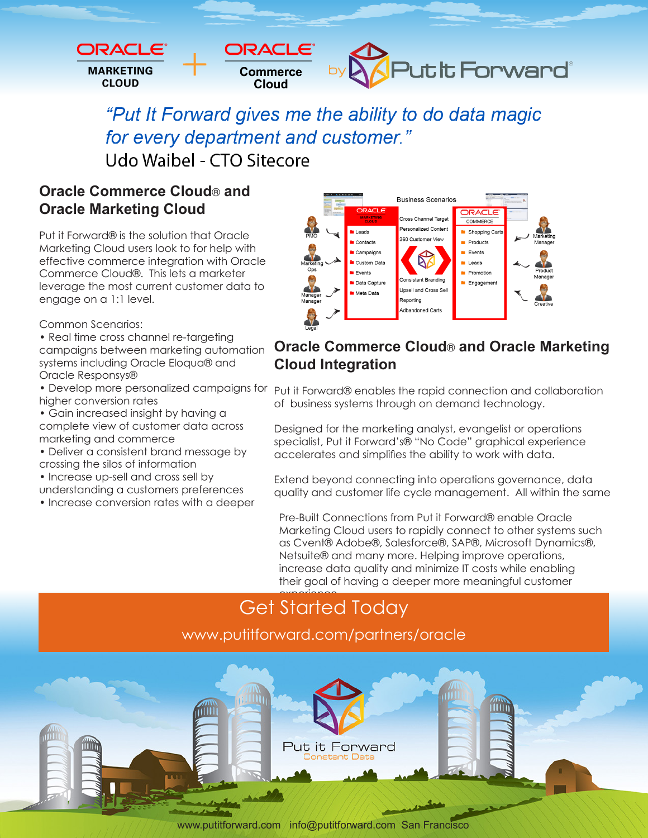

"Put It Forward gives me the ability to do data magic for every department and customer." Udo Waibel - CTO Sitecore

**Oracle Commerce Cloud**® **and Oracle Marketing Cloud** 

Put it Forward® is the solution that Oracle Marketing Cloud users look to for help with effective commerce integration with Oracle Commerce Cloud®. This lets a marketer leverage the most current customer data to engage on a 1:1 level.

Common Scenarios:

- Real time cross channel re-targeting
- campaigns between marketing automation systems including Oracle Eloqua® and Oracle Responsys®
- Develop more personalized campaigns for higher conversion rates
- Gain increased insight by having a complete view of customer data across marketing and commerce
- Deliver a consistent brand message by
- crossing the silos of information
- Increase up-sell and cross sell by
- understanding a customers preferences • Increase conversion rates with a deeper



#### **Oracle Commerce Cloud**® **and Oracle Marketing Cloud Integration**

Put it Forward® enables the rapid connection and collaboration of business systems through on demand technology.

Designed for the marketing analyst, evangelist or operations specialist, Put it Forward's® "No Code" graphical experience accelerates and simplifies the ability to work with data.

Extend beyond connecting into operations governance, data quality and customer life cycle management. All within the same

Pre-Built Connections from Put it Forward® enable Oracle Marketing Cloud users to rapidly connect to other systems such as Cvent® Adobe®, Salesforce®, SAP®, Microsoft Dynamics®, Netsuite® and many more. Helping improve operations, increase data quality and minimize IT costs while enabling their goal of having a deeper more meaningful customer

#### experience. Get Started Today www.putitforward.com/partners/oracle



www.putitforward.com / info@putitforward.com San Francisco